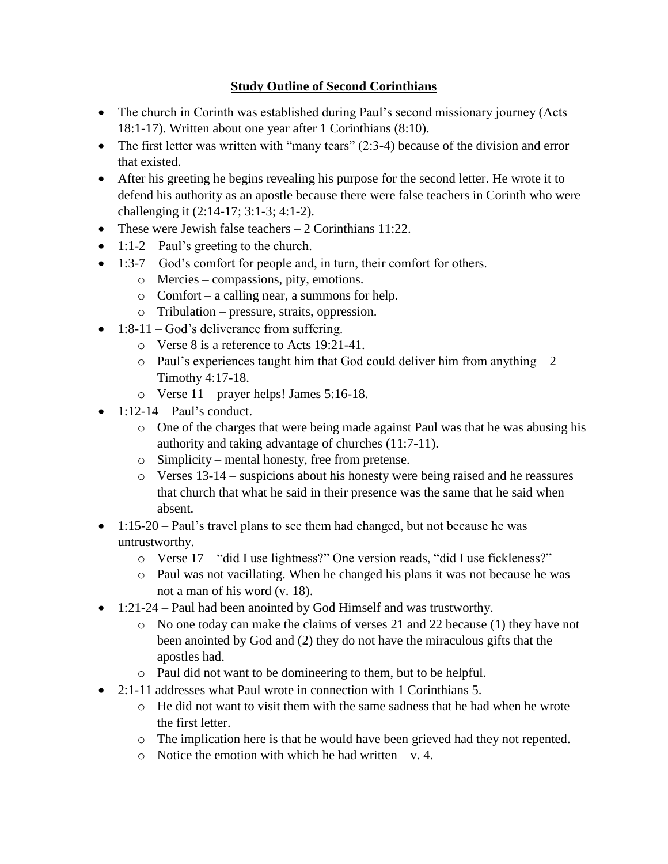## **Study Outline of Second Corinthians**

- The church in Corinth was established during Paul's second missionary journey (Acts 18:1-17). Written about one year after 1 Corinthians (8:10).
- The first letter was written with "many tears"  $(2:3-4)$  because of the division and error that existed.
- After his greeting he begins revealing his purpose for the second letter. He wrote it to defend his authority as an apostle because there were false teachers in Corinth who were challenging it (2:14-17; 3:1-3; 4:1-2).
- These were Jewish false teachers  $-2$  Corinthians 11:22.
- $\bullet$  1:1-2 Paul's greeting to the church.
- $\bullet$  1:3-7 God's comfort for people and, in turn, their comfort for others.
	- o Mercies compassions, pity, emotions.
	- o Comfort a calling near, a summons for help.
	- o Tribulation pressure, straits, oppression.
- $\bullet$  1:8-11 God's deliverance from suffering.
	- o Verse 8 is a reference to Acts 19:21-41.
	- $\circ$  Paul's experiences taught him that God could deliver him from anything  $-2$ Timothy 4:17-18.
	- o Verse 11 prayer helps! James 5:16-18.
- $\bullet$  1:12-14 Paul's conduct.
	- o One of the charges that were being made against Paul was that he was abusing his authority and taking advantage of churches (11:7-11).
	- o Simplicity mental honesty, free from pretense.
	- o Verses 13-14 suspicions about his honesty were being raised and he reassures that church that what he said in their presence was the same that he said when absent.
- 1:15-20 Paul's travel plans to see them had changed, but not because he was untrustworthy.
	- o Verse 17 "did I use lightness?" One version reads, "did I use fickleness?"
	- o Paul was not vacillating. When he changed his plans it was not because he was not a man of his word (v. 18).
- 1:21-24 Paul had been anointed by God Himself and was trustworthy.
	- o No one today can make the claims of verses 21 and 22 because (1) they have not been anointed by God and (2) they do not have the miraculous gifts that the apostles had.
	- o Paul did not want to be domineering to them, but to be helpful.
- 2:1-11 addresses what Paul wrote in connection with 1 Corinthians 5.
	- $\circ$  He did not want to visit them with the same sadness that he had when he wrote the first letter.
	- o The implication here is that he would have been grieved had they not repented.
	- $\circ$  Notice the emotion with which he had written v. 4.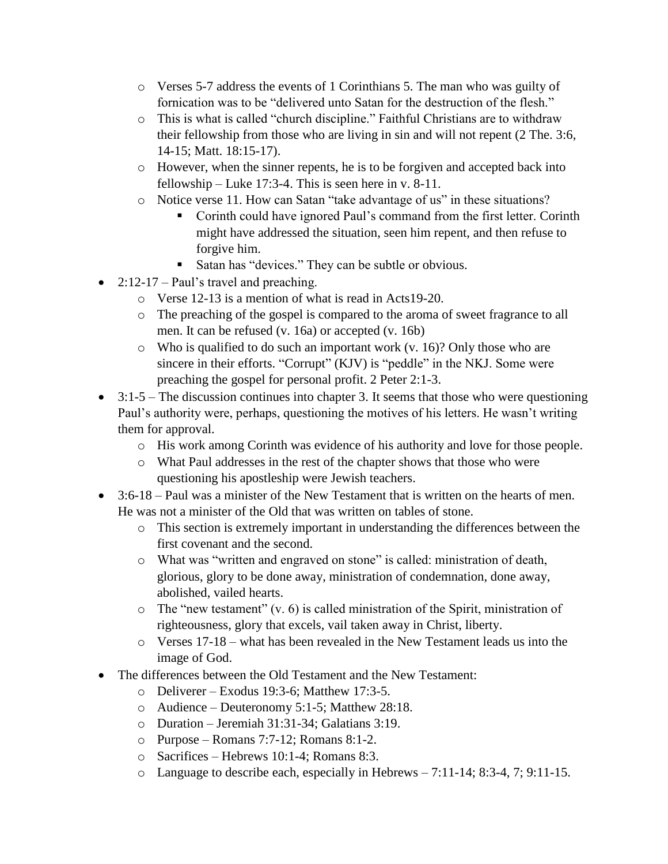- o Verses 5-7 address the events of 1 Corinthians 5. The man who was guilty of fornication was to be "delivered unto Satan for the destruction of the flesh."
- o This is what is called "church discipline." Faithful Christians are to withdraw their fellowship from those who are living in sin and will not repent (2 The. 3:6, 14-15; Matt. 18:15-17).
- o However, when the sinner repents, he is to be forgiven and accepted back into fellowship – Luke 17:3-4. This is seen here in v. 8-11.
- o Notice verse 11. How can Satan "take advantage of us" in these situations?
	- Corinth could have ignored Paul's command from the first letter. Corinth might have addressed the situation, seen him repent, and then refuse to forgive him.
	- Satan has "devices." They can be subtle or obvious.
- $2:12-17$  Paul's travel and preaching.
	- o Verse 12-13 is a mention of what is read in Acts19-20.
	- o The preaching of the gospel is compared to the aroma of sweet fragrance to all men. It can be refused (v. 16a) or accepted (v. 16b)
	- $\circ$  Who is qualified to do such an important work (v. 16)? Only those who are sincere in their efforts. "Corrupt" (KJV) is "peddle" in the NKJ. Some were preaching the gospel for personal profit. 2 Peter 2:1-3.
- $\bullet$  3:1-5 The discussion continues into chapter 3. It seems that those who were questioning Paul's authority were, perhaps, questioning the motives of his letters. He wasn't writing them for approval.
	- o His work among Corinth was evidence of his authority and love for those people.
	- o What Paul addresses in the rest of the chapter shows that those who were questioning his apostleship were Jewish teachers.
- $\bullet$  3:6-18 Paul was a minister of the New Testament that is written on the hearts of men. He was not a minister of the Old that was written on tables of stone.
	- o This section is extremely important in understanding the differences between the first covenant and the second.
	- o What was "written and engraved on stone" is called: ministration of death, glorious, glory to be done away, ministration of condemnation, done away, abolished, vailed hearts.
	- o The "new testament" (v. 6) is called ministration of the Spirit, ministration of righteousness, glory that excels, vail taken away in Christ, liberty.
	- $\circ$  Verses 17-18 what has been revealed in the New Testament leads us into the image of God.
- The differences between the Old Testament and the New Testament:
	- $\circ$  Deliverer Exodus 19:3-6; Matthew 17:3-5.
	- o Audience Deuteronomy 5:1-5; Matthew 28:18.
	- o Duration Jeremiah 31:31-34; Galatians 3:19.
	- $\circ$  Purpose Romans 7:7-12; Romans 8:1-2.
	- o Sacrifices Hebrews 10:1-4; Romans 8:3.
	- o Language to describe each, especially in Hebrews 7:11-14; 8:3-4, 7; 9:11-15.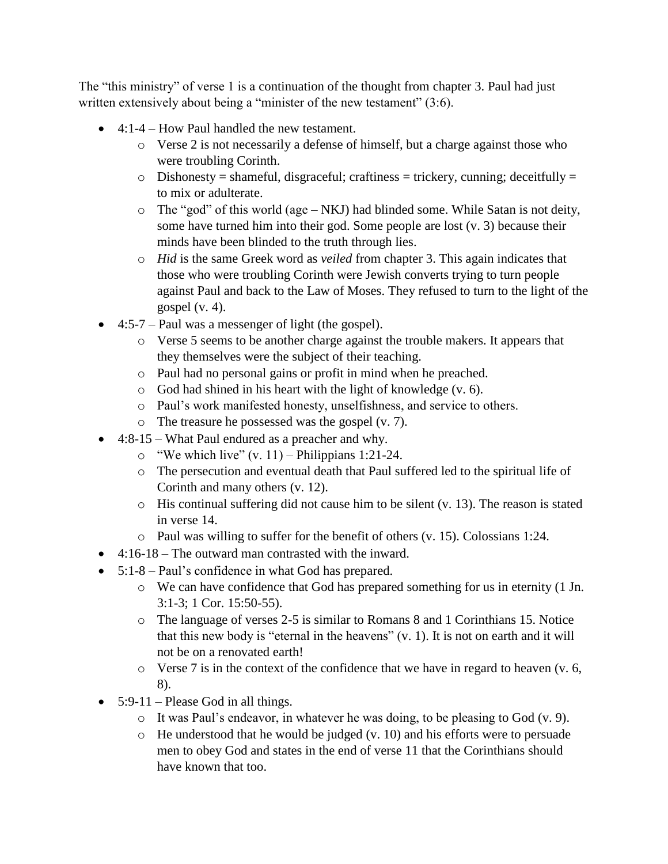The "this ministry" of verse 1 is a continuation of the thought from chapter 3. Paul had just written extensively about being a "minister of the new testament" (3:6).

- 4:1-4 How Paul handled the new testament.
	- o Verse 2 is not necessarily a defense of himself, but a charge against those who were troubling Corinth.
	- $\circ$  Dishonesty = shameful, disgraceful; craftiness = trickery, cunning; deceitfully = to mix or adulterate.
	- o The "god" of this world (age NKJ) had blinded some. While Satan is not deity, some have turned him into their god. Some people are lost (v. 3) because their minds have been blinded to the truth through lies.
	- o *Hid* is the same Greek word as *veiled* from chapter 3. This again indicates that those who were troubling Corinth were Jewish converts trying to turn people against Paul and back to the Law of Moses. They refused to turn to the light of the gospel  $(v. 4)$ .
- $\bullet$  4:5-7 Paul was a messenger of light (the gospel).
	- o Verse 5 seems to be another charge against the trouble makers. It appears that they themselves were the subject of their teaching.
	- o Paul had no personal gains or profit in mind when he preached.
	- o God had shined in his heart with the light of knowledge (v. 6).
	- o Paul's work manifested honesty, unselfishness, and service to others.
	- o The treasure he possessed was the gospel (v. 7).
- 4:8-15 What Paul endured as a preacher and why.
	- $\circ$  "We which live" (v. 11) Philippians 1:21-24.
	- o The persecution and eventual death that Paul suffered led to the spiritual life of Corinth and many others (v. 12).
	- o His continual suffering did not cause him to be silent (v. 13). The reason is stated in verse 14.
	- o Paul was willing to suffer for the benefit of others (v. 15). Colossians 1:24.
- $\bullet$  4:16-18 The outward man contrasted with the inward.
- 5:1-8 Paul's confidence in what God has prepared.
	- o We can have confidence that God has prepared something for us in eternity (1 Jn. 3:1-3; 1 Cor. 15:50-55).
	- o The language of verses 2-5 is similar to Romans 8 and 1 Corinthians 15. Notice that this new body is "eternal in the heavens" (v. 1). It is not on earth and it will not be on a renovated earth!
	- $\circ$  Verse 7 is in the context of the confidence that we have in regard to heaven (v. 6, 8).
- $\bullet$  5:9-11 Please God in all things.
	- o It was Paul's endeavor, in whatever he was doing, to be pleasing to God (v. 9).
	- o He understood that he would be judged (v. 10) and his efforts were to persuade men to obey God and states in the end of verse 11 that the Corinthians should have known that too.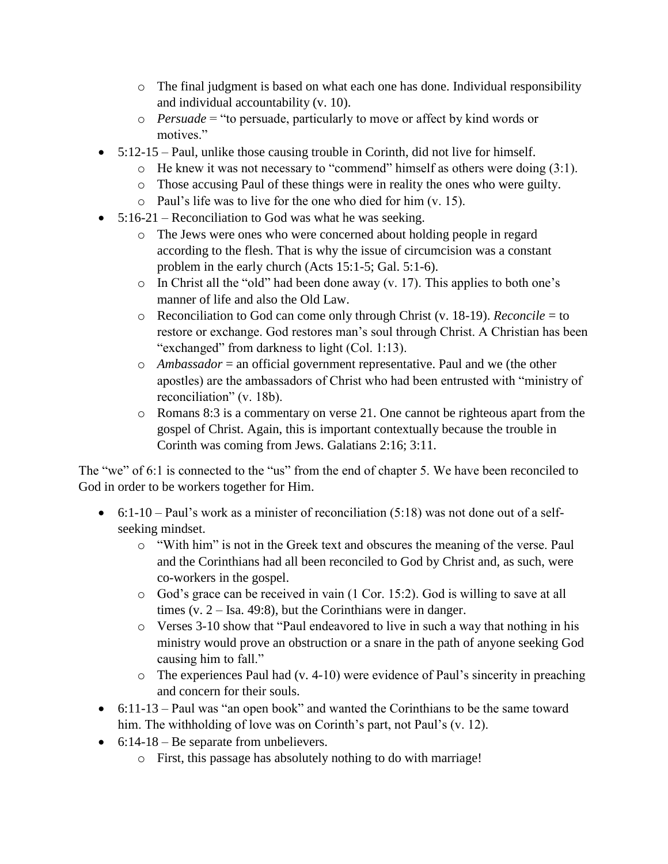- o The final judgment is based on what each one has done. Individual responsibility and individual accountability (v. 10).
- o *Persuade* = "to persuade, particularly to move or affect by kind words or motives."
- 5:12-15 Paul, unlike those causing trouble in Corinth, did not live for himself.
	- o He knew it was not necessary to "commend" himself as others were doing (3:1).
	- o Those accusing Paul of these things were in reality the ones who were guilty.
	- o Paul's life was to live for the one who died for him (v. 15).
- $\bullet$  5:16-21 Reconciliation to God was what he was seeking.
	- o The Jews were ones who were concerned about holding people in regard according to the flesh. That is why the issue of circumcision was a constant problem in the early church (Acts 15:1-5; Gal. 5:1-6).
	- o In Christ all the "old" had been done away (v. 17). This applies to both one's manner of life and also the Old Law.
	- o Reconciliation to God can come only through Christ (v. 18-19). *Reconcile* = to restore or exchange. God restores man's soul through Christ. A Christian has been "exchanged" from darkness to light (Col. 1:13).
	- o *Ambassador* = an official government representative. Paul and we (the other apostles) are the ambassadors of Christ who had been entrusted with "ministry of reconciliation" (v. 18b).
	- o Romans 8:3 is a commentary on verse 21. One cannot be righteous apart from the gospel of Christ. Again, this is important contextually because the trouble in Corinth was coming from Jews. Galatians 2:16; 3:11.

The "we" of 6:1 is connected to the "us" from the end of chapter 5. We have been reconciled to God in order to be workers together for Him.

- $\bullet$  6:1-10 Paul's work as a minister of reconciliation (5:18) was not done out of a selfseeking mindset.
	- o "With him" is not in the Greek text and obscures the meaning of the verse. Paul and the Corinthians had all been reconciled to God by Christ and, as such, were co-workers in the gospel.
	- o God's grace can be received in vain (1 Cor. 15:2). God is willing to save at all times (v. 2 – Isa. 49:8), but the Corinthians were in danger.
	- o Verses 3-10 show that "Paul endeavored to live in such a way that nothing in his ministry would prove an obstruction or a snare in the path of anyone seeking God causing him to fall."
	- o The experiences Paul had (v. 4-10) were evidence of Paul's sincerity in preaching and concern for their souls.
- 6:11-13 Paul was "an open book" and wanted the Corinthians to be the same toward him. The withholding of love was on Corinth's part, not Paul's (v. 12).
- $\bullet$  6:14-18 Be separate from unbelievers.
	- o First, this passage has absolutely nothing to do with marriage!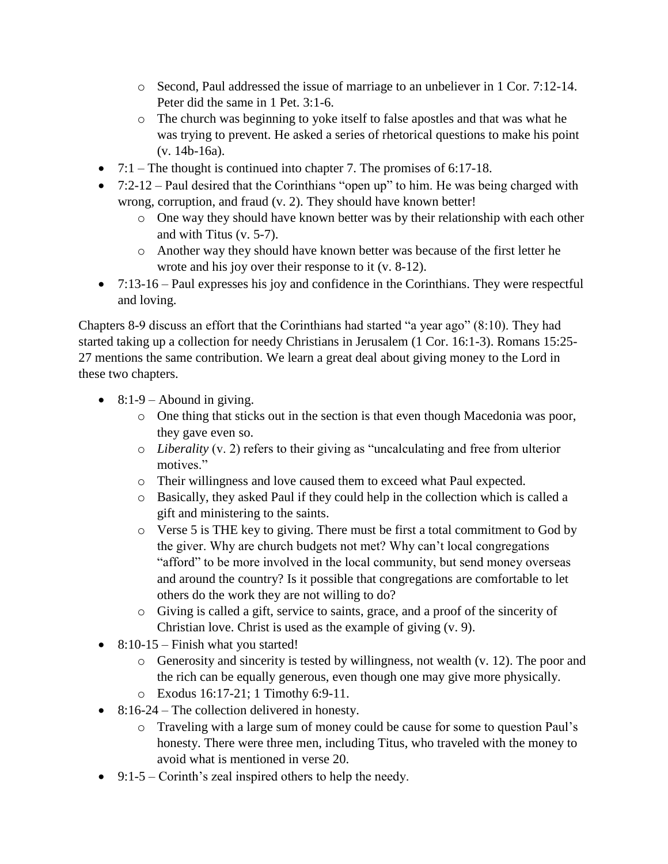- o Second, Paul addressed the issue of marriage to an unbeliever in 1 Cor. 7:12-14. Peter did the same in 1 Pet. 3:1-6.
- o The church was beginning to yoke itself to false apostles and that was what he was trying to prevent. He asked a series of rhetorical questions to make his point (v. 14b-16a).
- $\bullet$  7:1 The thought is continued into chapter 7. The promises of 6:17-18.
- $\bullet$  7:2-12 Paul desired that the Corinthians "open up" to him. He was being charged with wrong, corruption, and fraud (v. 2). They should have known better!
	- o One way they should have known better was by their relationship with each other and with Titus (v. 5-7).
	- o Another way they should have known better was because of the first letter he wrote and his joy over their response to it (v. 8-12).
- $\bullet$  7:13-16 Paul expresses his joy and confidence in the Corinthians. They were respectful and loving.

Chapters 8-9 discuss an effort that the Corinthians had started "a year ago" (8:10). They had started taking up a collection for needy Christians in Jerusalem (1 Cor. 16:1-3). Romans 15:25- 27 mentions the same contribution. We learn a great deal about giving money to the Lord in these two chapters.

- $\bullet$  8:1-9 Abound in giving.
	- o One thing that sticks out in the section is that even though Macedonia was poor, they gave even so.
	- o *Liberality* (v. 2) refers to their giving as "uncalculating and free from ulterior motives."
	- o Their willingness and love caused them to exceed what Paul expected.
	- o Basically, they asked Paul if they could help in the collection which is called a gift and ministering to the saints.
	- o Verse 5 is THE key to giving. There must be first a total commitment to God by the giver. Why are church budgets not met? Why can't local congregations "afford" to be more involved in the local community, but send money overseas and around the country? Is it possible that congregations are comfortable to let others do the work they are not willing to do?
	- o Giving is called a gift, service to saints, grace, and a proof of the sincerity of Christian love. Christ is used as the example of giving (v. 9).
- $\bullet$  8:10-15 Finish what you started!
	- o Generosity and sincerity is tested by willingness, not wealth (v. 12). The poor and the rich can be equally generous, even though one may give more physically.
	- o Exodus 16:17-21; 1 Timothy 6:9-11.
- 8:16-24 The collection delivered in honesty.
	- o Traveling with a large sum of money could be cause for some to question Paul's honesty. There were three men, including Titus, who traveled with the money to avoid what is mentioned in verse 20.
- $\bullet$  9:1-5 Corinth's zeal inspired others to help the needy.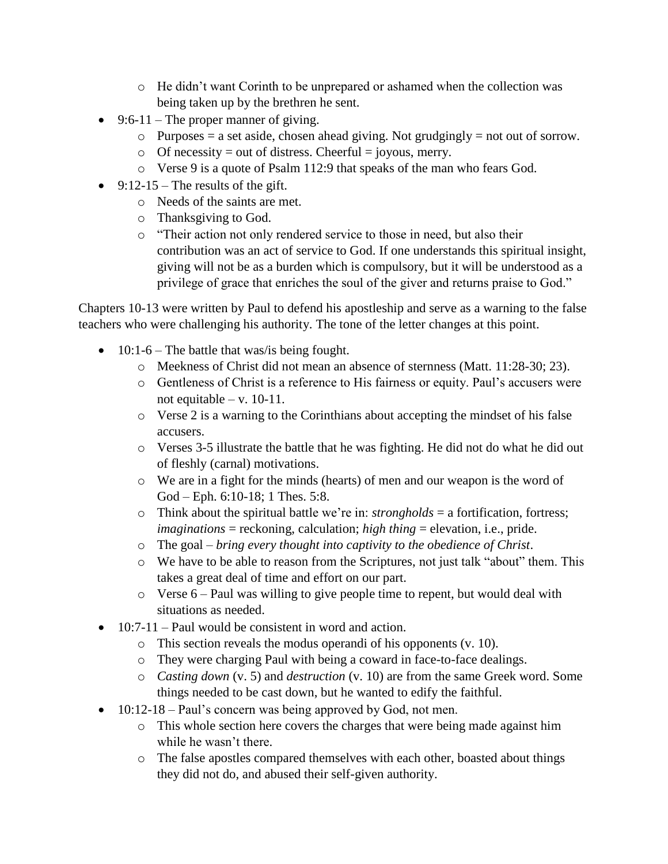- o He didn't want Corinth to be unprepared or ashamed when the collection was being taken up by the brethren he sent.
- $\bullet$  9:6-11 The proper manner of giving.
	- $\circ$  Purposes = a set aside, chosen ahead giving. Not grudgingly = not out of sorrow.
	- $\circ$  Of necessity = out of distress. Cheerful = joyous, merry.
	- o Verse 9 is a quote of Psalm 112:9 that speaks of the man who fears God.
- $\bullet$  9:12-15 The results of the gift.
	- o Needs of the saints are met.
	- o Thanksgiving to God.
	- o "Their action not only rendered service to those in need, but also their contribution was an act of service to God. If one understands this spiritual insight, giving will not be as a burden which is compulsory, but it will be understood as a privilege of grace that enriches the soul of the giver and returns praise to God."

Chapters 10-13 were written by Paul to defend his apostleship and serve as a warning to the false teachers who were challenging his authority. The tone of the letter changes at this point.

- $\bullet$  10:1-6 The battle that was/is being fought.
	- o Meekness of Christ did not mean an absence of sternness (Matt. 11:28-30; 23).
	- o Gentleness of Christ is a reference to His fairness or equity. Paul's accusers were not equitable – v.  $10-11$ .
	- $\circ$  Verse 2 is a warning to the Corinthians about accepting the mindset of his false accusers.
	- o Verses 3-5 illustrate the battle that he was fighting. He did not do what he did out of fleshly (carnal) motivations.
	- o We are in a fight for the minds (hearts) of men and our weapon is the word of God – Eph. 6:10-18; 1 Thes. 5:8.
	- o Think about the spiritual battle we're in: *strongholds* = a fortification, fortress; *imaginations* = reckoning, calculation; *high thing* = elevation, i.e., pride.
	- o The goal *bring every thought into captivity to the obedience of Christ*.
	- o We have to be able to reason from the Scriptures, not just talk "about" them. This takes a great deal of time and effort on our part.
	- o Verse 6 Paul was willing to give people time to repent, but would deal with situations as needed.
- 10:7-11 Paul would be consistent in word and action.
	- o This section reveals the modus operandi of his opponents (v. 10).
	- o They were charging Paul with being a coward in face-to-face dealings.
	- o *Casting down* (v. 5) and *destruction* (v. 10) are from the same Greek word. Some things needed to be cast down, but he wanted to edify the faithful.
- $\bullet$  10:12-18 Paul's concern was being approved by God, not men.
	- o This whole section here covers the charges that were being made against him while he wasn't there.
	- o The false apostles compared themselves with each other, boasted about things they did not do, and abused their self-given authority.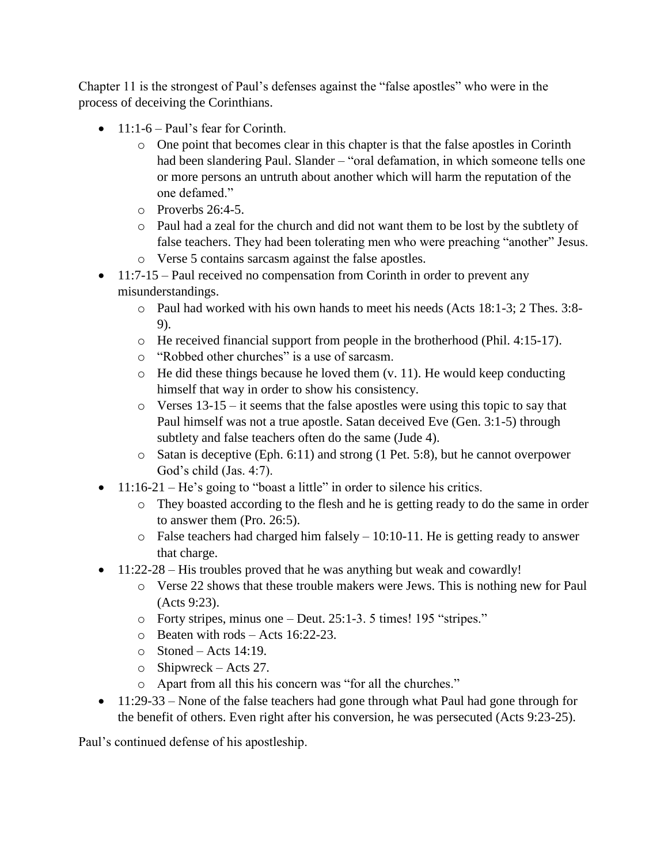Chapter 11 is the strongest of Paul's defenses against the "false apostles" who were in the process of deceiving the Corinthians.

- $\bullet$  11:1-6 Paul's fear for Corinth.
	- o One point that becomes clear in this chapter is that the false apostles in Corinth had been slandering Paul. Slander – "oral defamation, in which someone tells one or more persons an untruth about another which will harm the reputation of the one defamed."
	- $\circ$  Proverbs 26:4-5.
	- o Paul had a zeal for the church and did not want them to be lost by the subtlety of false teachers. They had been tolerating men who were preaching "another" Jesus.
	- o Verse 5 contains sarcasm against the false apostles.
- $\bullet$  11:7-15 Paul received no compensation from Corinth in order to prevent any misunderstandings.
	- o Paul had worked with his own hands to meet his needs (Acts 18:1-3; 2 Thes. 3:8- 9).
	- o He received financial support from people in the brotherhood (Phil. 4:15-17).
	- o "Robbed other churches" is a use of sarcasm.
	- $\circ$  He did these things because he loved them (v. 11). He would keep conducting himself that way in order to show his consistency.
	- o Verses 13-15 it seems that the false apostles were using this topic to say that Paul himself was not a true apostle. Satan deceived Eve (Gen. 3:1-5) through subtlety and false teachers often do the same (Jude 4).
	- o Satan is deceptive (Eph. 6:11) and strong (1 Pet. 5:8), but he cannot overpower God's child (Jas. 4:7).
- 11:16-21 He's going to "boast a little" in order to silence his critics.
	- o They boasted according to the flesh and he is getting ready to do the same in order to answer them (Pro. 26:5).
	- $\circ$  False teachers had charged him falsely 10:10-11. He is getting ready to answer that charge.
- 11:22-28 His troubles proved that he was anything but weak and cowardly!
	- o Verse 22 shows that these trouble makers were Jews. This is nothing new for Paul (Acts 9:23).
	- o Forty stripes, minus one Deut. 25:1-3. 5 times! 195 "stripes."
	- o Beaten with rods Acts 16:22-23.
	- $\circ$  Stoned Acts 14:19.
	- o Shipwreck Acts 27.
	- o Apart from all this his concern was "for all the churches."
- 11:29-33 None of the false teachers had gone through what Paul had gone through for the benefit of others. Even right after his conversion, he was persecuted (Acts 9:23-25).

Paul's continued defense of his apostleship.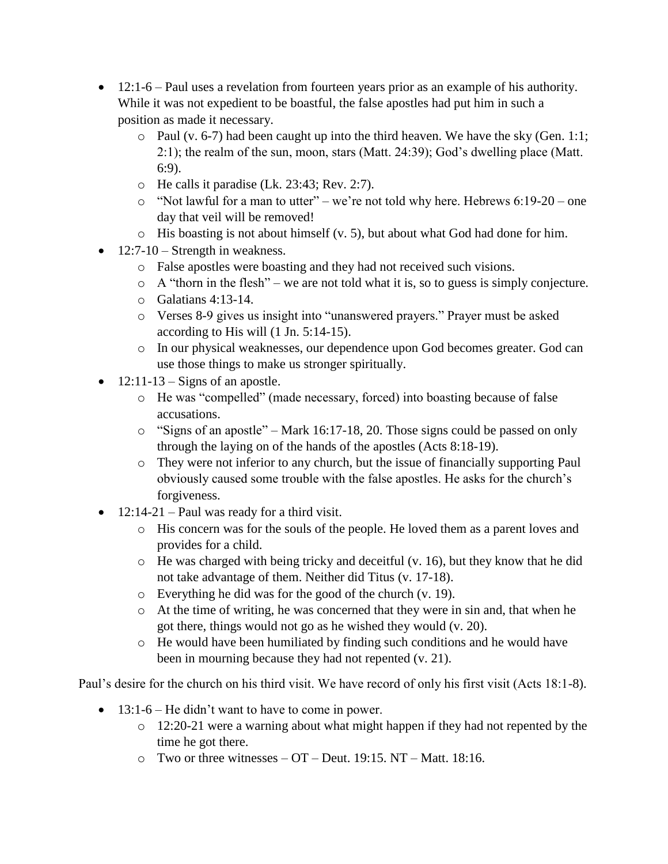- 12:1-6 Paul uses a revelation from fourteen years prior as an example of his authority. While it was not expedient to be boastful, the false apostles had put him in such a position as made it necessary.
	- o Paul (v. 6-7) had been caught up into the third heaven. We have the sky (Gen. 1:1; 2:1); the realm of the sun, moon, stars (Matt. 24:39); God's dwelling place (Matt. 6:9).
	- o He calls it paradise (Lk. 23:43; Rev. 2:7).
	- o "Not lawful for a man to utter" we're not told why here. Hebrews 6:19-20 one day that veil will be removed!
	- o His boasting is not about himself (v. 5), but about what God had done for him.
- $\bullet$  12:7-10 Strength in weakness.
	- o False apostles were boasting and they had not received such visions.
	- $\circ$  A "thorn in the flesh" we are not told what it is, so to guess is simply conjecture.
	- o Galatians 4:13-14.
	- o Verses 8-9 gives us insight into "unanswered prayers." Prayer must be asked according to His will (1 Jn. 5:14-15).
	- o In our physical weaknesses, our dependence upon God becomes greater. God can use those things to make us stronger spiritually.
- $\bullet$  12:11-13 Signs of an apostle.
	- o He was "compelled" (made necessary, forced) into boasting because of false accusations.
	- o "Signs of an apostle" Mark 16:17-18, 20. Those signs could be passed on only through the laying on of the hands of the apostles (Acts 8:18-19).
	- o They were not inferior to any church, but the issue of financially supporting Paul obviously caused some trouble with the false apostles. He asks for the church's forgiveness.
- $\bullet$  12:14-21 Paul was ready for a third visit.
	- o His concern was for the souls of the people. He loved them as a parent loves and provides for a child.
	- o He was charged with being tricky and deceitful (v. 16), but they know that he did not take advantage of them. Neither did Titus (v. 17-18).
	- o Everything he did was for the good of the church (v. 19).
	- o At the time of writing, he was concerned that they were in sin and, that when he got there, things would not go as he wished they would (v. 20).
	- o He would have been humiliated by finding such conditions and he would have been in mourning because they had not repented (v. 21).

Paul's desire for the church on his third visit. We have record of only his first visit (Acts 18:1-8).

- $\bullet$  13:1-6 He didn't want to have to come in power.
	- o 12:20-21 were a warning about what might happen if they had not repented by the time he got there.
	- $\circ$  Two or three witnesses OT Deut. 19:15. NT Matt. 18:16.